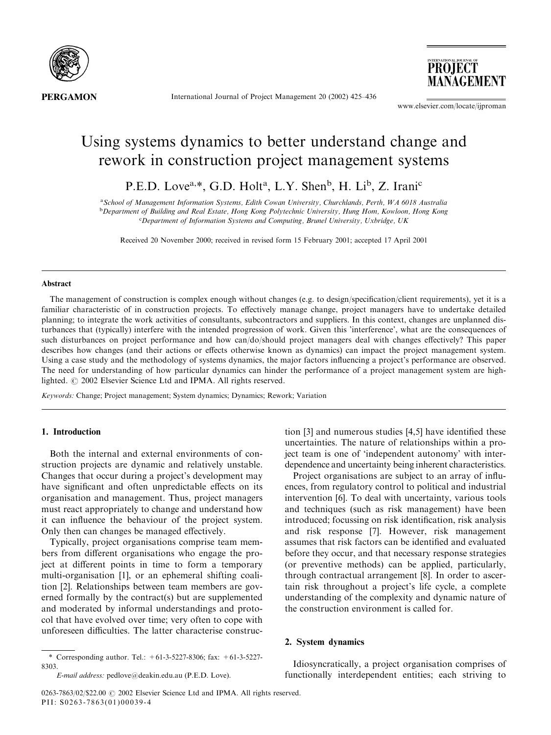

International Journal of Project Management 20 (2002) 425-436



www.elsevier.com/locate/ijproman

# Using systems dynamics to better understand change and rework in construction project management systems

P.E.D. Love<sup>a,\*</sup>, G.D. Holt<sup>a</sup>, L.Y. Shen<sup>b</sup>, H. Li<sup>b</sup>, Z. Irani<sup>c</sup>

a School of Management Information Systems, Edith Cowan University, Churchlands, Perth, WA 6018 Australia <sup>b</sup>Department of Building and Real Estate, Hong Kong Polytechnic University, Hung Hom, Kowloon, Hong Kong <sup>c</sup>Department of Information Systems and Computing, Brunel University, Uxbridge, UK

Received 20 November 2000; received in revised form 15 February 2001; accepted 17 April 2001

#### Abstract

The management of construction is complex enough without changes (e.g. to design/specification/client requirements), yet it is a familiar characteristic of in construction projects. To effectively manage change, project managers have to undertake detailed planning; to integrate the work activities of consultants, subcontractors and suppliers. In this context, changes are unplanned disturbances that (typically) interfere with the intended progression of work. Given this 'interference', what are the consequences of such disturbances on project performance and how can/do/should project managers deal with changes effectively? This paper describes how changes (and their actions or effects otherwise known as dynamics) can impact the project management system. Using a case study and the methodology of systems dynamics, the major factors influencing a project's performance are observed. The need for understanding of how particular dynamics can hinder the performance of a project management system are highlighted.  $\odot$  2002 Elsevier Science Ltd and IPMA. All rights reserved.

Keywords: Change; Project management; System dynamics; Dynamics; Rework; Variation

### 1. Introduction

Both the internal and external environments of construction projects are dynamic and relatively unstable. Changes that occur during a project's development may have significant and often unpredictable effects on its organisation and management. Thus, project managers must react appropriately to change and understand how it can influence the behaviour of the project system. Only then can changes be managed effectively.

Typically, project organisations comprise team members from different organisations who engage the project at different points in time to form a temporary multi-organisation [1], or an ephemeral shifting coalition [2]. Relationships between team members are governed formally by the contract(s) but are supplemented and moderated by informal understandings and protocol that have evolved over time; very often to cope with unforeseen difficulties. The latter characterise construc-

\* Corresponding author. Tel.:  $+61-3-5227-8306$ ; fax:  $+61-3-5227-$ 8303.

tion [3] and numerous studies [4,5] have identified these uncertainties. The nature of relationships within a project team is one of 'independent autonomy' with interdependence and uncertainty being inherent characteristics.

Project organisations are subject to an array of influences, from regulatory control to political and industrial intervention [6]. To deal with uncertainty, various tools and techniques (such as risk management) have been introduced; focussing on risk identification, risk analysis and risk response [7]. However, risk management assumes that risk factors can be identified and evaluated before they occur, and that necessary response strategies (or preventive methods) can be applied, particularly, through contractual arrangement [8]. In order to ascertain risk throughout a project's life cycle, a complete understanding of the complexity and dynamic nature of the construction environment is called for.

#### 2. System dynamics

Idiosyncratically, a project organisation comprises of functionally interdependent entities; each striving to

0263-7863/02/\$22.00  $\odot$  2002 Elsevier Science Ltd and IPMA. All rights reserved. PII: S0263-7863(01)00039-4

E-mail address: pedlove@deakin.edu.au (P.E.D. Love).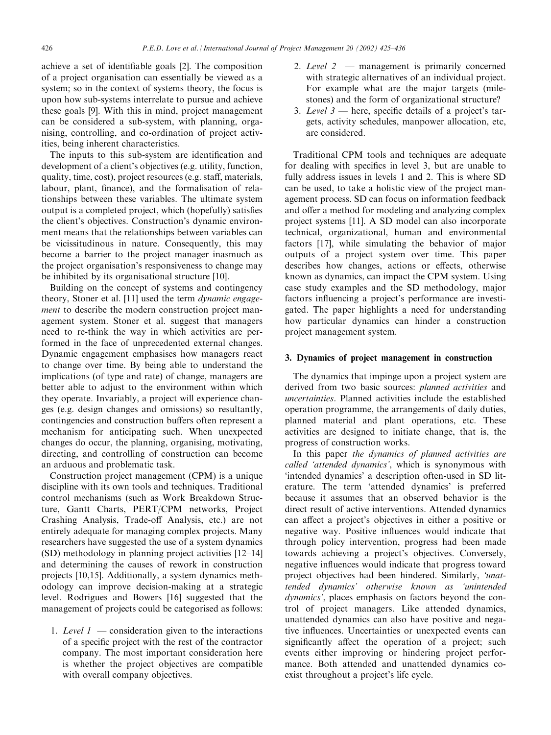achieve a set of identifiable goals [2]. The composition of a project organisation can essentially be viewed as a system; so in the context of systems theory, the focus is upon how sub-systems interrelate to pursue and achieve these goals [9]. With this in mind, project management can be considered a sub-system, with planning, organising, controlling, and co-ordination of project activities, being inherent characteristics.

The inputs to this sub-system are identification and development of a client's objectives (e.g. utility, function, quality, time, cost), project resources (e.g. staff, materials, labour, plant, finance), and the formalisation of relationships between these variables. The ultimate system output is a completed project, which (hopefully) satisfies the client's objectives. Construction's dynamic environment means that the relationships between variables can be vicissitudinous in nature. Consequently, this may become a barrier to the project manager inasmuch as the project organisation's responsiveness to change may be inhibited by its organisational structure [10].

Building on the concept of systems and contingency theory, Stoner et al. [11] used the term dynamic engagement to describe the modern construction project management system. Stoner et al. suggest that managers need to re-think the way in which activities are performed in the face of unprecedented external changes. Dynamic engagement emphasises how managers react to change over time. By being able to understand the implications (of type and rate) of change, managers are better able to adjust to the environment within which they operate. Invariably, a project will experience changes (e.g. design changes and omissions) so resultantly, contingencies and construction buffers often represent a mechanism for anticipating such. When unexpected changes do occur, the planning, organising, motivating, directing, and controlling of construction can become an arduous and problematic task.

Construction project management (CPM) is a unique discipline with its own tools and techniques. Traditional control mechanisms (such as Work Breakdown Structure, Gantt Charts, PERT/CPM networks, Project Crashing Analysis, Trade-off Analysis, etc.) are not entirely adequate for managing complex projects. Many researchers have suggested the use of a system dynamics (SD) methodology in planning project activities [12–14] and determining the causes of rework in construction projects [10,15]. Additionally, a system dynamics methodology can improve decision-making at a strategic level. Rodrigues and Bowers [16] suggested that the management of projects could be categorised as follows:

1. Level  $1$  — consideration given to the interactions of a specific project with the rest of the contractor company. The most important consideration here is whether the project objectives are compatible with overall company objectives.

- 2. Level  $2$  management is primarily concerned with strategic alternatives of an individual project. For example what are the major targets (milestones) and the form of organizational structure?
- 3. Level  $3$  here, specific details of a project's targets, activity schedules, manpower allocation, etc, are considered.

Traditional CPM tools and techniques are adequate for dealing with specifics in level 3, but are unable to fully address issues in levels 1 and 2. This is where SD can be used, to take a holistic view of the project management process. SD can focus on information feedback and offer a method for modeling and analyzing complex project systems [11]. A SD model can also incorporate technical, organizational, human and environmental factors [17], while simulating the behavior of major outputs of a project system over time. This paper describes how changes, actions or effects, otherwise known as dynamics, can impact the CPM system. Using case study examples and the SD methodology, major factors influencing a project's performance are investigated. The paper highlights a need for understanding how particular dynamics can hinder a construction project management system.

### 3. Dynamics of project management in construction

The dynamics that impinge upon a project system are derived from two basic sources: planned activities and uncertainties. Planned activities include the established operation programme, the arrangements of daily duties, planned material and plant operations, etc. These activities are designed to initiate change, that is, the progress of construction works.

In this paper the dynamics of planned activities are called 'attended dynamics', which is synonymous with 'intended dynamics' a description often-used in SD literature. The term 'attended dynamics' is preferred because it assumes that an observed behavior is the direct result of active interventions. Attended dynamics can affect a project's objectives in either a positive or negative way. Positive influences would indicate that through policy intervention, progress had been made towards achieving a project's objectives. Conversely, negative influences would indicate that progress toward project objectives had been hindered. Similarly, 'unattended dynamics' otherwise known as 'unintended dynamics', places emphasis on factors beyond the control of project managers. Like attended dynamics, unattended dynamics can also have positive and negative influences. Uncertainties or unexpected events can significantly affect the operation of a project; such events either improving or hindering project performance. Both attended and unattended dynamics coexist throughout a project's life cycle.